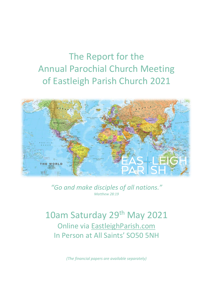# The Report for the Annual Parochial Church Meeting of Eastleigh Parish Church 2021



*"Go and make disciples of all nations." Matthew 28:19*

10am Saturday 29<sup>th</sup> May 2021 Online via [EastleighParish.com](https://zoom.us/j/6806841473) In Person at All Saints' SO50 5NH

*(The financial papers are available separately)*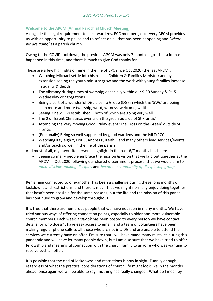#### **Welcome to the APCM (Annual Parochial Church Meeting)**

Alongside the legal requirement to elect wardens, PCC members, etc. every APCM provides us with an opportunity to pause and to reflect on all that has been happening and *'where we are going'* as a parish church.

Owing to the COVID lockdown, the previous APCM was only 7 months ago – but a lot has happened in this time, and there is much to give God thanks for.

These are a few highlights of mine in the life of EPC since Oct 2020 (the last APCM):

- Watching Michael settle into his role as Children & Families Minister; and by extension seeing the youth ministry grow and the work with young families increase in quality & depth
- The vibrancy during times of worship; especially within our 9:30 Sunday & 9:15 Wednesday congregations
- Being a part of a wonderful Discipleship Group (DG) in which the '5Ws' are being seen more and more (worship, word, witness, welcome, width)
- Seeing 2 new DGs established both of which are going very well
- The 2 different Christmas events on the green outside of St Francis'
- Attending the very moving Good Friday event 'The Cross on the Green' outside St Francis'
- (Personally) Being so well supported by good wardens and the MLT/PCC
- Watching Kayleigh Y, Dot C, Andres P, Keith P and many others lead services/events and/or teach so well in the life of the parish

And most of all, my favourite personal highlight in the past 6/7 months has been:

• Seeing so many people embrace the mission & vision that we laid out together at the APCM in Oct 2020 following our shared discernment process: that we would aim to *make disciple-making disciples* **and** *become a community of discipleship groups*

Remaining connected to one-another has been a challenge during these long months of lockdowns and restrictions, and there is much that we might normally enjoy doing together that hasn't been possible for the same reasons, but the life and the mission of this parish has continued to grow and develop throughout.

It is true that there are numerous people that we have not seen in many months. We have tried various ways of offering connection points, especially to older and more vulnerable church members. Each week, *Outlook* has been posted to every person we have contact details for who doesn't have easy access to email, and a team of volunteers have been making regular phone calls to all those who are not in a DG and are unable to attend the services we currently have on offer. I'm sure that I will have made many mistakes during this pandemic and will have let many people down, but I am also sure that we have tried to offer fellowship and meaningful connection with the church family to anyone who was wanting to receive such an offer.

It is possible that the end of lockdowns and restrictions is now in sight. Funnily enough, regardless of what the practical considerations of church life might look like in the months ahead, once again we will be able to say, 'nothing has really changed'. What do I mean by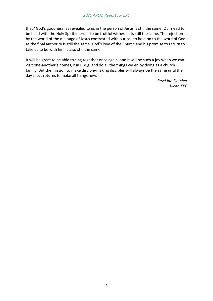that? God's goodness, as revealed to us in the person of Jesus is still the same. Our need to be filled with the Holy Spirit in order to be fruitful witnesses is still the same. The rejection by the world of the message of Jesus contrasted with our call to hold on to the word of God as the final authority is still the same. God's love of the Church and his promise to return to take us to be with him is also still the same.

It will be great to be able to sing together once again, and it will be such a joy when we can visit one-another's homes, run BBQs, and do all the things we enjoy doing as a church family. But the mission to make disciple-making disciples will always be the same until the day Jesus returns to make all things new.

> *Revd Ian Fletcher Vicar, EPC*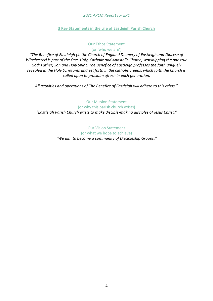#### **3 Key Statements in the Life of Eastleigh Parish Church**

#### Our Ethos Statement (or 'who we are')

*"The Benefice of Eastleigh (in the Church of England Deanery of Eastleigh and Diocese of Winchester) is part of the One, Holy, Catholic and Apostolic Church, worshipping the one true God; Father, Son and Holy Spirit. The Benefice of Eastleigh professes the faith uniquely revealed in the Holy Scriptures and set forth in the catholic creeds, which faith the Church is called upon to proclaim afresh in each generation.*

*All activities and operations of The Benefice of Eastleigh will adhere to this ethos."*

Our Mission Statement (or why this parish church exists) *"Eastleigh Parish Church exists to make disciple-making disciples of Jesus Christ."*

> Our Vision Statement (or what we hope to achieve) *"We aim to become a community of Discipleship Groups."*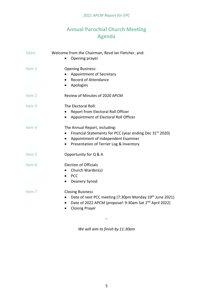# **Annual Parochial Church Meeting Agenda**

| 10am              | Welcome from the Chairman, Revd Ian Fletcher, and:<br>Opening prayer                                                                                                                                              |
|-------------------|-------------------------------------------------------------------------------------------------------------------------------------------------------------------------------------------------------------------|
| Item 1            | <b>Opening Business:</b><br>Appointment of Secretary<br><b>Record of Attendance</b><br>Apologies<br>$\bullet$                                                                                                     |
| Item <sub>2</sub> | Review of Minutes of 2020 APCM                                                                                                                                                                                    |
| Item <sub>3</sub> | The Electoral Roll:<br>Report from Electoral Roll Officer<br>Appointment of Electoral Roll Officer<br>$\bullet$                                                                                                   |
| Item <sub>4</sub> | The Annual Report, including:<br>Financial Statements for PCC (year ending Dec 31 <sup>st</sup> 2020)<br>Appointment of Independent Examiner<br>$\bullet$<br>Presentation of Terrier Log & Inventory<br>$\bullet$ |
| Item 5            | Opportunity for Q & A                                                                                                                                                                                             |
| Item 6            | <b>Election of Officials</b><br>Church Warden(s)<br>$\bullet$<br><b>PCC</b><br>$\bullet$<br>Deanery Synod<br>$\bullet$                                                                                            |
| Item 7            | <b>Closing Business</b><br>Date of next PCC meeting (7:30pm Monday 19th June 2021)<br>Date of 2022 APCM (proposal: 9:30am Sat 2 <sup>nd</sup> April 2022)<br>$\bullet$<br><b>Closing Prayer</b><br>$\bullet$      |
|                   |                                                                                                                                                                                                                   |

*We will aim to finish by 11:30am*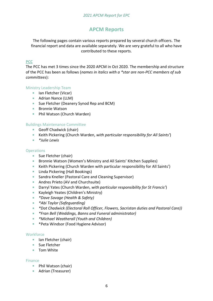## **APCM Reports**

The following pages contain various reports prepared by several church officers. The financial report and data are available separately. We are very grateful to all who have contributed to these reports.

#### **PCC**

The PCC has met 3 times since the 2020 APCM in Oct 2020. The membership and structure of the PCC has been as follows (*names in italics with a \*star are non-PCC members of sub committees*):

#### Ministry Leadership Team

- Ian Fletcher (Vicar)
- **Adrian Nance (LLM)**
- Sue Fletcher (Deanery Synod Rep and BCM)
- **Bronnie Watson**
- **Phil Watson (Church Warden)**

#### Buildings Maintenance Committee

- Geoff Chadwick (chair)
- Keith Pickering (Church Warden, *with particular responsibility for All Saints'*)
- *\*Julie Lewis*

#### **Operations**

- Sue Fletcher (chair)
- **Bronnie Watson (Women's Ministry and All Saints' Kitchen Supplies)**
- Keith Pickering (Church Warden with particular responsibility for All Saints')
- **Linda Pickering (Hall Bookings)**
- **Sandra Kneller (Pastoral Care and Cleaning Supervisor)**
- Andres Prieto (AV and Churchsuite)
- Darryl Yates (Church Warden, *with particular responsibility for St Francis'*) a s
- Kayleigh Yeates (Children's Ministry) **College**
- *\*Dave Savage (Health & Safety)*
- *\*Abi Taylor (Safeguarding)*
- *\*Dot Chadwick (Electoral Roll Officer, Flowers, Sacristan duties and Pastoral Care))*
- *\*Fran Bell (Weddings, Banns and Funeral administrator)*
- *\*Michael Weatherall (Youth and Children)*
- \*Peta Windsor (Food Hygiene Advisor)

#### **Workforce**

- Ian Fletcher (chair)
- **Sue Fletcher**
- **Tom White**

#### Finance

- **Phil Watson (chair)**
- Adrian (Treasurer)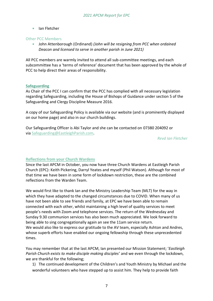**I**an Fletcher

#### Other PCC Members

John Attenborough (Ordinand) *(John will be resigning from PCC when ordained Deacon and licensed to serve in another parish in June 2021)*

All PCC members are warmly invited to attend all sub-committee meetings, and each subcommittee has a 'terms of reference' document that has been approved by the whole of PCC to help direct their areas of responsibility.

#### **Safeguarding**

As Chair of the PCC I can confirm that the PCC has complied with all necessary legislation regarding Safeguarding, including the House of Bishops of Guidance under section 5 of the Safeguarding and Clergy Discipline Measure 2016.

A copy of our Safeguarding Policy is available via our website (and is prominently displayed on our home page) and also in our church buildings.

Our Safeguarding Officer is Abi Taylor and she can be contacted on 07380 204092 or via [Safeguarding@EastleighParish.com.](mailto:Safeguarding@EastleighParish.com)

*Revd Ian Fletcher*

#### **Reflections from your Church Wardens**

Since the last APCM in October, you now have three Church Wardens at Eastleigh Parish Church (EPC): Keith Pickering, Darryl Yeates and myself (Phil Watson). Although for most of that time we have been in some form of lockdown restriction, these are the combined reflections from the Warden Team.

We would first like to thank Ian and the Ministry Leadership Team (MLT) for the way in which they have adapted to the changed circumstances due to COVID. When many of us have not been able to see friends and family, at EPC we have been able to remain connected with each other, whilst maintaining a high level of quality services to meet people's needs with Zoom and telephone services. The return of the Wednesday and Sunday 9.30 communion services has also been much appreciated. We look forward to being able to sing congregationally again an see the 11am service return. We would also like to express our gratitude to the AV team, especially Ashton and Andres, whose superb efforts have enabled our ongoing fellowship through these unprecedented times.

You may remember that at the last APCM, Ian presented our Mission Statement; '*Eastleigh Parish Church exists to make disciple making disciples'* and we even through the lockdown, we are thankful for the following;

1) The continued development of the Children's and Youth Ministry by Michael and the wonderful volunteers who have stepped up to assist him. They help to provide faith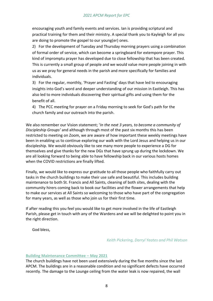encouraging youth and family events and services. Ian is providing scriptural and practical training for them and their ministry. A special thank you to Kayleigh for all you are doing to promote the gospel to our young(er) ones.

2) For the development of Tuesday and Thursday morning prayers using a combination of formal order of service, which can become a springboard for extempore prayer. This kind of impromptu prayer has developed due to close fellowship that has been created. This is currently a small group of people and we would value more people joining in with us as we pray for general needs in the parish and more specifically for families and individuals.

3) For the regular, monthly, 'Prayer and Fasting' days that have led to encouraging insights into God's word and deeper understanding of our mission in Eastleigh. This has also led to more individuals discovering their spiritual gifts and using them for the benefit of all.

4) The PCC meeting for prayer on a Friday morning to seek for God's path for the church family and our outreach into the parish.

We also remember our Vision statement; '*In the next 3 years, to become a community of Discipleship Groups'* and although through most of the past six months this has been restricted to meeting on Zoom, we are aware of how important these weekly meetings have been in enabling us to continue exploring our walk with the Lord Jesus and helping us in our discipleship. We would obviously like to see many more people to experience a DG for themselves and give thanks for the new DGs that have sprung up during the lockdown. We are all looking forward to being able to have fellowship back in our various hosts homes when the COVID restrictions are finally lifted.

Finally, we would like to express our gratitude to all those people who faithfully carry out tasks in the church buildings to make their use safe and beautiful. This includes building maintenance to both St. Francis and All Saints, cleaning of both sites, dealing with the community hirers coming back to book our facilities and the flower arrangements that help to make our services at All Saints so welcoming to those who have part of the congregation for many years, as well as those who join us for their first time.

If after reading this you feel you would like to get more involved in the life of Eastleigh Parish, please get in touch with any of the Wardens and we will be delighted to point you in the right direction.

God bless,

#### *Keith Pickering, Darryl Yeates and Phil Watson*

#### **Building Maintenance Committee – May 2021**

The church buildings have not been used extensively during the five months since the last APCM. The buildings are in a reasonable condition and no significant defects have occurred recently. The damage to the Lounge ceiling from the water leak is now repaired, the wall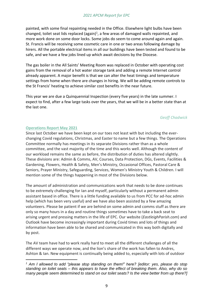painted, with some final repainting needed in the Office. Elsewhere light bulbs have been changed, toilet seat lids replaced (again)<sup>1</sup>, a few areas of damaged walls repainted, and more work done on some door locks. Some jobs do seem to come around again and again. St. Francis will be receiving some cosmetic care in one or two areas following damage by hirers. All the portable electrical items in all our buildings have been tested and found to be safe, and we have a few jobs lined up which await decisions by the Diocese.

The gas boiler in the All Saints' Meeting Room was replaced in October with operating cost gains from the removal of a hot water storage tank and adding a remote Internet control already apparent. A major benefit is that we can alter the heat timings and temperature settings from home when there are changes in hiring. We will be adding remote controls to the St Francis' heating to achieve similar cost benefits in the near future.

This year we are due a Quinquennial Inspection (every five years) in the late summer. I expect to find, after a few large tasks over the years, that we will be in a better state than at the last one.

#### *Geoff Chadwick*

#### **Operations Report May 2021**

Since last October we have been kept on our toes not least with but including the everchanging Covid regulations, Christmas, and Easter to name but a few things. The Operations Committee normally has meetings in its separate Divisions rather than as a whole committee, and the vast majority of the time and this works well. Although the content of our workload remains the same as before, the distribution of duties has altered slightly. These divisions are: Admin & Comms, AV, Courses, Data Protection, DGs, Events, Facilities & Gardening, Flowers, Health & Safety, Men's Ministry, Occasional Offices, Pastoral Care & Seniors, Prayer Ministry, Safeguarding, Services, Women's Ministry Youth & Children. I will mention some of the things happening in most of the Divisions below.

The amount of administration and communications work that needs to be done continues to be extremely challenging for Ian and myself, particularly without a permanent admin assistant based in office. There is a little funding available to us from PCC for ad-hoc admin help (which has been very useful) and we have also been assisted by a few amazing volunteers. Please be patient if we are behind on some admin and comms stuff as there are only so many hours in a day and routine things sometimes have to take a back seat to arising urgent and pressing matters in the life of EPC. Our website (*EastleighParish.com*) and Outlook have become increasingly important during Covid times and lots of things and information have been able to be shared and communicated in this way both digitally and by post.

The AV team have had to work really hard to meet all the different challenges of all the different ways we operate now, and the lion's share of the work has fallen to Andres, Ashton & Ian. New equipment is continually being added to, especially with lots of outdoor

*<sup>1</sup> Am I allowed to add "please stop standing on them!" here? [editor: yes, please do stop standing on toilet seats – this appears to have the effect of breaking them. Also, why do so many people seem determined to stand on our toilet seats? Is the view better from up there?]*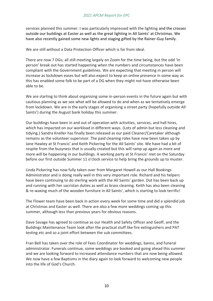services planned this summer. I was particularly impressed with the lighting and the crosses outside our buildings at Easter as well as the great lighting in All Saints' at Christmas. We have also recently gained some new lights and staging gifted by the Rainer-Guy family.

We are still without a Data Protection Officer which is far from ideal.

There are now 7 DGs; all still meeting largely on Zoom for the time being, but the odd 'in person' break out has started happening when the numbers and circumstances have been compliant with the Government guidelines. We are expecting that meeting in person will increase as lockdown eases but will also expect to keep an online presence in some way as this has enabled some folk to be part of a DG when they might not have otherwise been able to be.

We are starting to think about organising some in-person events in the future again but with cautious planning as we see what will be allowed to do and when as we tentatively emerge from lockdown. We are in the early stages of organising a street party (hopefully outside All Saints') during the August bank holiday this summer.

Our buildings have been in and out of operation with activities, services, and hall hires, which has impacted on our workload in different ways. (Lots of admin but less cleaning and tidying.) Sandra Kneller has finally been released as our paid Cleaner/Caretaker although remains as the volunteer supervisor. The paid cleaning roles have now been taken up by Jane Hawley at St Francis' and Keith Pickering for the All Saints' site. We have had a bit of respite from the busyness that is usually created but this will ramp up again as more and more will be happening in our buildings. A working party at St Francis' met on the Saturday before our first outside Summer 11 o'clock service to help bring the grounds up to muster.

Linda Pickering has now fully taken over from Margaret Howell as our Hall Bookings Administrator and is doing really well in this very important role. Richard and his helpers have been continuing to do sterling work with the All Saints' garden. Dot has been back up and running with her sacristan duties as well as brass cleaning. Keith has also been cleaning & re-waxing much of the wooden furniture in All Saints', which is starting to look terrific!

The Flower team have been back in action every week for some time and did a splendid job at Christmas and Easter as well. There are also a few more weddings coming up this summer, although less than previous years for obvious reasons.

Dave Savage has agreed to continue as our Health and Safety Officer and Geoff, and the Buildings Maintenance Team look after the practical stuff like fire extinguishers and PAT testing etc and so a joint effort between the sub committees.

Fran Bell has taken over the role of Fees Coordinator for weddings, banns, and funeral administrator. Funerals continue, some weddings are booked and going ahead this summer and we are looking forward to increased attendance numbers that are now being allowed. We now have a few Baptisms in the diary again to look forward to welcoming new people into the life of God's Church.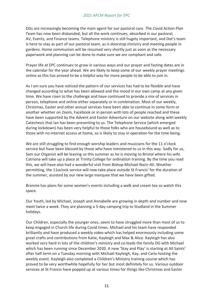DGs are increasingly becoming the main agent for our pastoral care. The Covid Action Plan Team has now been disbanded, but all the work continues, absorbed in our pastoral, AV, Events, and Finance teams. Telephone ministry is still hugely important, and Dot's team is here to stay as part of our pastoral team, as is doorstop ministry and meeting people in gardens. Home communion will be resumed very shortly just as soon as the necessary paperwork and planning can be done to make sure we are compliant and safe.

Prayer life at EPC continues to grow in various ways and our prayer and fasting dates are in the calendar for the year ahead. We are likely to keep some of our weekly prayer meetings online as this has proved to be a helpful way for more people to be able to join in.

As I am sure you have noticed the pattern of our services has had to be flexible and have changed according to what has been allowed and the mood in our own camp at any given time. We have risen to the challenge and have continued to provide a mix of services in person, telephone and online either separately or in combination. Most of our weekly, Christmas, Easter and other annual services have been able to continue in some form or another whether on Zoom, Facebook or in person with lots of people reached and these have been supported by the Advent and Easter Adventure on our website along with weekly Catechesis that Ian has been presenting to us. The Telephone Service (which emerged during lockdown) has been very helpful to those folks who are housebound as well as to those with no internet access at home, so is likely to stay in operation for the time being.

We are still struggling to find enough worship leaders and musicians for the 11 o'clock service but have been blessed by those who have ministered to us in this way. Sadly for us, Sam our Organist will be leaving us this summer as he is moving to Bristol where his wife Catriona will take up a place at Trinity College for ordination training. By the time you read this, we will have also had a wonderful visit from Bishop Michael Nazir-Ali. Weather permitting, the 11oclock service will now take place outside St Francis' for the duration of the summer, assisted by our new large marquee that we have been gifted.

Bronnie has plans for some women's events including a walk and cream tea so watch this space.

Our Youth, led by Michael, Joseph and Annabelle are growing in depth and number and now meet twice a week. They are planning a 5-day camping trip to Studland in the Summer holidays.

Our Children, especially the younger ones, seem to have struggled more than most of us to keep engaged in Church life during Covid times. Michael and his team have responded brilliantly and have produced a weekly video which has helped enormously including some great crafts and contributions from Katie, Kayleigh and Max & Alice. Kayleigh has also worked very hard in lots of the children's ministry and co-leads the family DG with Michael which has been running since December 2020. A new 'Stay and Play' is starting at All Saints' after half term on a Tuesday morning with Michael Kayleigh, Kay, and Carla hosting the weekly event. Kayleigh also completed a Children's Ministry training course which has proved to be very worthwhile hopefully for her but most definitely for us. Various outdoor services at St Francis have popped up at various times for things like Christmas and Easter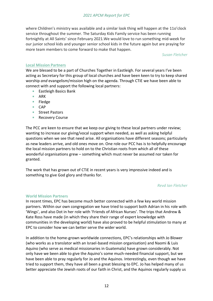where Children's ministry was available and a similar look thing will happen at the 11o'clock service throughout the summer. The Saturday Kids Family service has been running fortnightly at All Saints' since February 2021.We would love to run something mid-week for our junior school kids and younger senior school kids in the future again but are praying for more team members to come forward to make that happen.

*Susan Fletcher*

#### **Local Mission Partners**

We are blessed to be a part of Churches Together in Eastleigh. For several years I've been acting as Secretary for this group of local churches and have been keen to try to keep shared worship *and* evangelism/mission high on the agenda. Through CTiE we have been able to connect with and support the following local partners:

- Eastleigh Basics Bank
- $A$ RK
- **Fledge**
- $CAP$
- Street Pastors
- **Recovery Course**

The PCC are keen to ensure that we keep our giving to these local partners under review; wanting to increase our giving/vocal support when needed, as well as asking helpful questions when we see that need arise. All organisations have different seasons; particularly as new leaders arrive, and old ones move on. One role our PCC has is to helpfully encourage the local mission partners to hold on to the Christian roots from which all of these wonderful organisations grew – something which must never be assumed nor taken for granted.

The work that has grown out of CTiE in recent years is very impressive indeed and is something to give God glory and thanks for.

#### *Revd Ian Fletcher*

#### **World Mission Partners**

In recent times, EPC has become much better connected with a few key world mission partners. Within our own congregation we have tried to support both Adrian in his role with 'Wings', and also Dot in her role with 'Friends of African Nurses'. The trips that Andrew & Kate Ross have made (in which they share their range of expert knowledge with communities in the developing world) have also proved to be helpful stimulation to many at EPC to consider how we can better serve the wider world.

In addition to the home-grown worldwide connections, EPC's relationships with Jo Blower (who works as a translator with an Israel-based mission organisation) and Naomi & Luis Aquino (who serve as medical missionaries in Guatemala) have grown considerably. Not only have we been able to give the Aquino's some much-needed financial support, but we have been able to pray regularly for Jo and the Aquinos. Interestingly, even though we have tried to support them, they have all been a great blessing to EPC. Jo has helped many of us better appreciate the Jewish roots of our faith in Christ, and the Aquinos regularly supply us